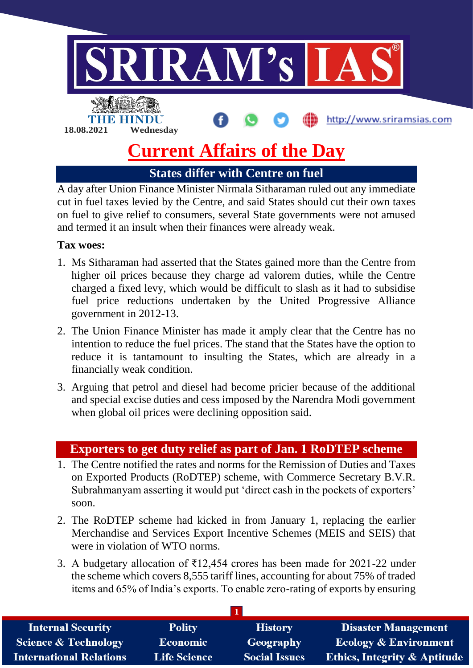

## **Current Affairs of the Day**

**States differ with Centre on fuel**

A day after Union Finance Minister Nirmala Sitharaman ruled out any immediate cut in fuel taxes levied by the Centre, and said States should cut their own taxes on fuel to give relief to consumers, several State governments were not amused and termed it an insult when their finances were already weak.

## **Tax woes:**

- 1. Ms Sitharaman had asserted that the States gained more than the Centre from higher oil prices because they charge ad valorem duties, while the Centre charged a fixed levy, which would be difficult to slash as it had to subsidise fuel price reductions undertaken by the United Progressive Alliance government in 2012-13.
- 2. The Union Finance Minister has made it amply clear that the Centre has no intention to reduce the fuel prices. The stand that the States have the option to reduce it is tantamount to insulting the States, which are already in a financially weak condition.
- 3. Arguing that petrol and diesel had become pricier because of the additional and special excise duties and cess imposed by the Narendra Modi government when global oil prices were declining opposition said.

## **Exporters to get duty relief as part of Jan. 1 RoDTEP scheme**

- 1. The Centre notified the rates and norms for the Remission of Duties and Taxes on Exported Products (RoDTEP) scheme, with Commerce Secretary B.V.R. Subrahmanyam asserting it would put 'direct cash in the pockets of exporters' soon.
- 2. The RoDTEP scheme had kicked in from January 1, replacing the earlier Merchandise and Services Export Incentive Schemes (MEIS and SEIS) that were in violation of WTO norms.
- 3. A budgetary allocation of ₹12,454 crores has been made for 2021-22 under the scheme which covers 8,555 tariff lines, accounting for about 75% of traded items and 65% of India's exports. To enable zero-rating of exports by ensuring

| <b>Internal Security</b>        | <b>Polity</b>       | <b>History</b>       | <b>Disaster Management</b>              |
|---------------------------------|---------------------|----------------------|-----------------------------------------|
| <b>Science &amp; Technology</b> | <b>Economic</b>     | Geography            | <b>Ecology &amp; Environment</b>        |
| <b>International Relations</b>  | <b>Life Science</b> | <b>Social Issues</b> | <b>Ethics, Integrity &amp; Aptitude</b> |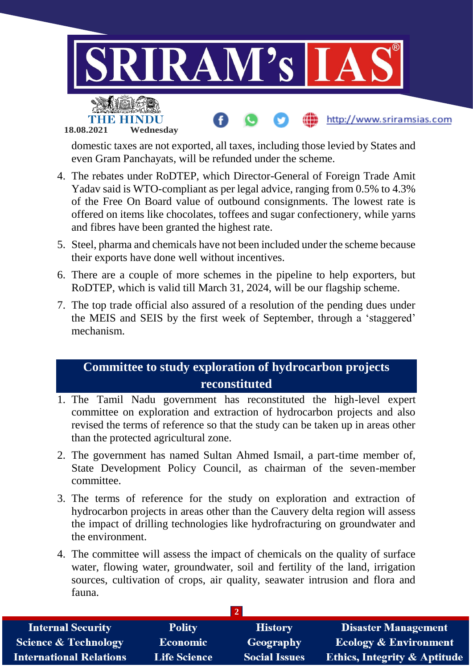

domestic taxes are not exported, all taxes, including those levied by States and even Gram Panchayats, will be refunded under the scheme.

- 4. The rebates under RoDTEP, which Director-General of Foreign Trade Amit Yadav said is WTO-compliant as per legal advice, ranging from 0.5% to 4.3% of the Free On Board value of outbound consignments. The lowest rate is offered on items like chocolates, toffees and sugar confectionery, while yarns and fibres have been granted the highest rate.
- 5. Steel, pharma and chemicals have not been included under the scheme because their exports have done well without incentives.
- 6. There are a couple of more schemes in the pipeline to help exporters, but RoDTEP, which is valid till March 31, 2024, will be our flagship scheme.
- 7. The top trade official also assured of a resolution of the pending dues under the MEIS and SEIS by the first week of September, through a 'staggered' mechanism.

## **Committee to study exploration of hydrocarbon projects reconstituted**

- 1. The Tamil Nadu government has reconstituted the high-level expert committee on exploration and extraction of hydrocarbon projects and also revised the terms of reference so that the study can be taken up in areas other than the protected agricultural zone.
- 2. The government has named Sultan Ahmed Ismail, a part-time member of, State Development Policy Council, as chairman of the seven-member committee.
- 3. The terms of reference for the study on exploration and extraction of hydrocarbon projects in areas other than the Cauvery delta region will assess the impact of drilling technologies like hydrofracturing on groundwater and the environment.
- 4. The committee will assess the impact of chemicals on the quality of surface water, flowing water, groundwater, soil and fertility of the land, irrigation sources, cultivation of crops, air quality, seawater intrusion and flora and fauna.

| <b>Internal Security</b>        | <b>Polity</b>       | <b>History</b>       | <b>Disaster Management</b>              |  |  |  |
|---------------------------------|---------------------|----------------------|-----------------------------------------|--|--|--|
| <b>Science &amp; Technology</b> | <b>Economic</b>     | Geography            | <b>Ecology &amp; Environment</b>        |  |  |  |
| <b>International Relations</b>  | <b>Life Science</b> | <b>Social Issues</b> | <b>Ethics, Integrity &amp; Aptitude</b> |  |  |  |